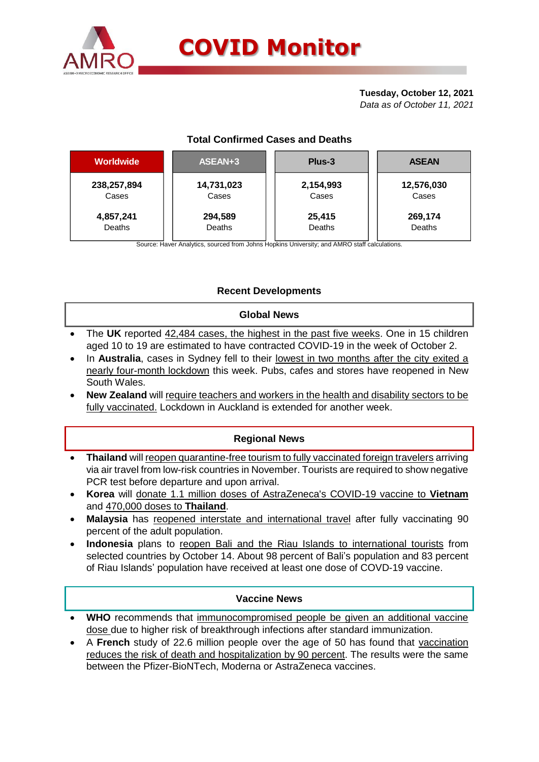

# **Tuesday, October 12, 2021**

*Data as of October 11, 2021*

# **Total Confirmed Cases and Deaths**

| <b>Worldwide</b> | ASEAN+3    | Plus-3    | <b>ASEAN</b> |  |  |
|------------------|------------|-----------|--------------|--|--|
| 238,257,894      | 14,731,023 | 2,154,993 | 12,576,030   |  |  |
| Cases            | Cases      | Cases     | Cases        |  |  |
| 4,857,241        | 294,589    | 25,415    | 269,174      |  |  |
| Deaths           | Deaths     | Deaths    | Deaths       |  |  |

Source: Haver Analytics, sourced from Johns Hopkins University; and AMRO staff calculations.

# **Recent Developments**

# **Global News**

- The **UK** reported 42,484 cases, the highest in the past five weeks. One in 15 children aged 10 to 19 are estimated to have contracted COVID-19 in the week of October 2.
- In **Australia**, cases in Sydney fell to their lowest in two months after the city exited a nearly four-month lockdown this week. Pubs, cafes and stores have reopened in New South Wales.
- **New Zealand** will require teachers and workers in the health and disability sectors to be fully vaccinated. Lockdown in Auckland is extended for another week.

# **Regional News**

- **Thailand** will reopen quarantine-free tourism to fully vaccinated foreign travelers arriving via air travel from low-risk countries in November. Tourists are required to show negative PCR test before departure and upon arrival.
- **Korea** will donate 1.1 million doses of AstraZeneca's COVID-19 vaccine to **Vietnam** and 470,000 doses to **Thailand**.
- **Malaysia** has reopened interstate and international travel after fully vaccinating 90 percent of the adult population.
- **Indonesia** plans to reopen Bali and the Riau Islands to international tourists from selected countries by October 14. About 98 percent of Bali's population and 83 percent of Riau Islands' population have received at least one dose of COVD-19 vaccine.

### **Vaccine News**

- **WHO** recommends that immunocompromised people be given an additional vaccine dose due to higher risk of breakthrough infections after standard immunization.
- A **French** study of 22.6 million people over the age of 50 has found that vaccination reduces the risk of death and hospitalization by 90 percent. The results were the same between the Pfizer-BioNTech, Moderna or AstraZeneca vaccines.